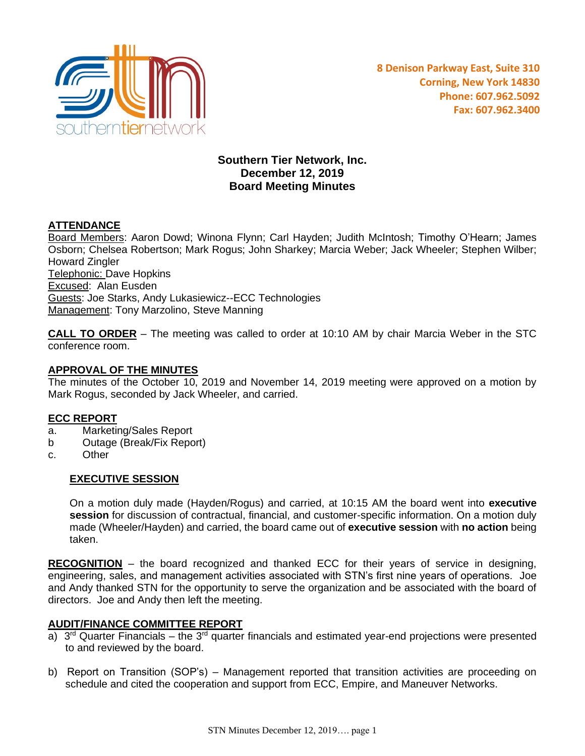

# **Southern Tier Network, Inc. December 12, 2019 Board Meeting Minutes**

# **ATTENDANCE**

Board Members: Aaron Dowd; Winona Flynn; Carl Hayden; Judith McIntosh; Timothy O'Hearn; James Osborn; Chelsea Robertson; Mark Rogus; John Sharkey; Marcia Weber; Jack Wheeler; Stephen Wilber; Howard Zingler Telephonic: Dave Hopkins Excused: Alan Eusden Guests: Joe Starks, Andy Lukasiewicz--ECC Technologies Management: Tony Marzolino, Steve Manning

**CALL TO ORDER** – The meeting was called to order at 10:10 AM by chair Marcia Weber in the STC conference room.

#### **APPROVAL OF THE MINUTES**

The minutes of the October 10, 2019 and November 14, 2019 meeting were approved on a motion by Mark Rogus, seconded by Jack Wheeler, and carried.

#### **ECC REPORT**

- a. Marketing/Sales Report
- b Outage (Break/Fix Report)
- c. Other

#### **EXECUTIVE SESSION**

On a motion duly made (Hayden/Rogus) and carried, at 10:15 AM the board went into **executive session** for discussion of contractual, financial, and customer-specific information. On a motion duly made (Wheeler/Hayden) and carried, the board came out of **executive session** with **no action** being taken.

**RECOGNITION** – the board recognized and thanked ECC for their years of service in designing, engineering, sales, and management activities associated with STN's first nine years of operations. Joe and Andy thanked STN for the opportunity to serve the organization and be associated with the board of directors. Joe and Andy then left the meeting.

#### **AUDIT/FINANCE COMMITTEE REPORT**

- a) 3<sup>rd</sup> Quarter Financials the 3<sup>rd</sup> quarter financials and estimated year-end projections were presented to and reviewed by the board.
- b) Report on Transition (SOP's) Management reported that transition activities are proceeding on schedule and cited the cooperation and support from ECC, Empire, and Maneuver Networks.